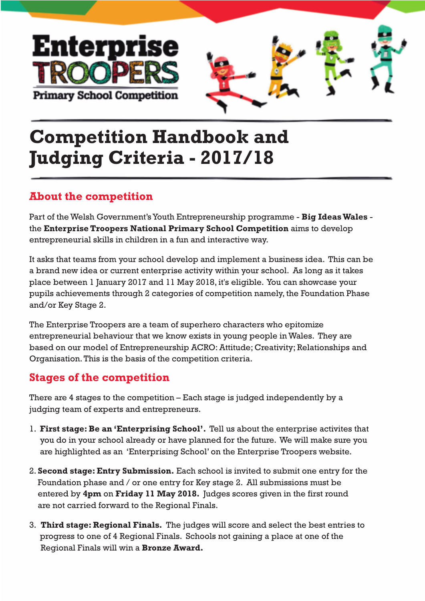



## **Competition Handbook and Judging Criteria - 2017/18**

## **About the competition**

Part of the Welsh Government'sYouth Entrepreneurship programme - **Big IdeasWales** the **Enterprise Troopers National Primary School Competition** aims to develop entrepreneurial skills in children in a fun and interactive way.

It asks that teams from your school develop and implement a business idea. This can be a brand new idea or current enterprise activity within your school. As long as it takes place between 1 January 2017 and 11 May 2018, it's eligible. You can showcase your pupils achievements through 2 categories of competition namely, the Foundation Phase and/or Key Stage 2.

The Enterprise Troopers are a team of superhero characters who epitomize entrepreneurial behaviour that we know exists in young people in Wales. They are based on our model of Entrepreneurship ACRO:Attitude; Creativity; Relationships and Organisation.This is the basis of the competition criteria.

## **Stages of the competition**

There are 4 stages to the competition – Each stage is judged independently by a judging team of experts and entrepreneurs.

- 1. **First stage: Be an 'Enterprising School'.** Tell us about the enterprise activites that you do in your school already or have planned for the future. We will make sure you are highlighted as an 'Enterprising School' on the Enterprise Troopers website.
- 2. **Second stage: Entry Submission.** Each school is invited to submit one entry for the Foundation phase and / or one entry for Key stage 2. All submissions must be entered by **4pm** on **Friday 11 May 2018.** Judges scores given in the first round are not carried forward to the Regional Finals.
- 3. **Third stage: Regional Finals.** The judges will score and select the best entries to progress to one of 4 Regional Finals. Schools not gaining a place at one of the Regional Finals will win a **Bronze Award.**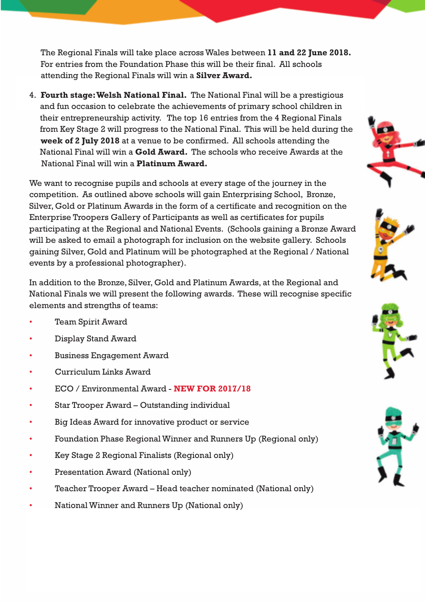The Regional Finals will take place across Wales between **11 and 22 June 2018.** For entries from the Foundation Phase this will be their final. All schools attending the Regional Finals will win a **Silver Award.**

4. **Fourth stage:Welsh National Final.** The National Final will be a prestigious and fun occasion to celebrate the achievements of primary school children in their entrepreneurship activity. The top 16 entries from the 4 Regional Finals from Key Stage 2 will progress to the National Final. This will be held during the **week of 2 July 2018** at a venue to be confirmed. All schools attending the National Final will win a **Gold Award.** The schools who receive Awards at the National Final will win a **Platinum Award.**

We want to recognise pupils and schools at every stage of the journey in the competition. As outlined above schools will gain Enterprising School, Bronze, Silver, Gold or Platinum Awards in the form of a certificate and recognition on the Enterprise Troopers Gallery of Participants as well as certificates for pupils participating at the Regional and National Events. (Schools gaining a Bronze Award will be asked to email a photograph for inclusion on the website gallery. Schools gaining Silver, Gold and Platinum will be photographed at the Regional / National events by a professional photographer).

In addition to the Bronze, Silver, Gold and Platinum Awards, at the Regional and National Finals we will present the following awards. These will recognise specific elements and strengths of teams:

- Team Spirit Award
- Display Stand Award
- Business Engagement Award
- Curriculum Links Award
- ECO / Environmental Award **NEW FOR 2017/18**
- Star Trooper Award Outstanding individual
- Big Ideas Award for innovative product or service
- Foundation Phase Regional Winner and Runners Up (Regional only)
- Key Stage 2 Regional Finalists (Regional only)
- Presentation Award (National only)
- Teacher Trooper Award Head teacher nominated (National only)
- National Winner and Runners Up (National only)







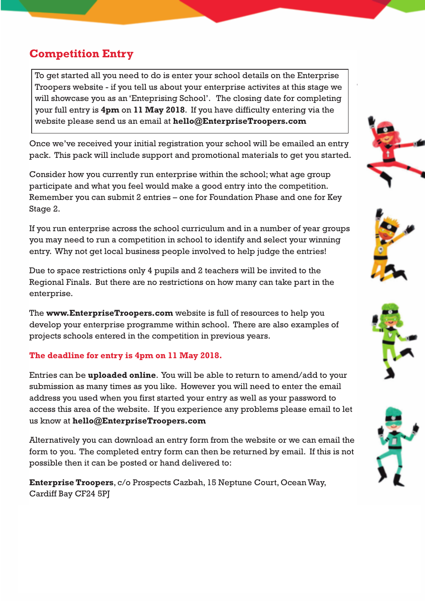### **Competition Entry**

To get started all you need to do is enter your school details on the Enterprise Troopers website - if you tell us about your enterprise activites at this stage we will showcase you as an 'Enteprising School'. The closing date for completing your full entry is **4pm** on **11 May 2018**. If you have difficulty entering via the website please send us an email at **hello@EnterpriseTroopers.com**

Once we've received your initial registration your school will be emailed an entry pack. This pack will include support and promotional materials to get you started.

Consider how you currently run enterprise within the school; what age group participate and what you feel would make a good entry into the competition. Remember you can submit 2 entries – one for Foundation Phase and one for Key Stage 2.

If you run enterprise across the school curriculum and in a number of year groups you may need to run a competition in school to identify and select your winning entry. Why not get local business people involved to help judge the entries!

Due to space restrictions only 4 pupils and 2 teachers will be invited to the Regional Finals. But there are no restrictions on how many can take part in the enterprise.

The **www.EnterpriseTroopers.com** website is full of resources to help you develop your enterprise programme within school. There are also examples of projects schools entered in the competition in previous years.

#### **The deadline for entry is 4pm on 11 May 2018.**

Entries can be **uploaded online**. You will be able to return to amend/add to your submission as many times as you like. However you will need to enter the email address you used when you first started your entry as well as your password to access this area of the website. If you experience any problems please email to let us know at **hello@EnterpriseTroopers.com**

Alternatively you can download an entry form from the website or we can email the form to you. The completed entry form can then be returned by email. If this is not possible then it can be posted or hand delivered to:

**Enterprise Troopers**, c/o Prospects Cazbah, 15 Neptune Court, Ocean Way, Cardiff Bay CF24 5PJ







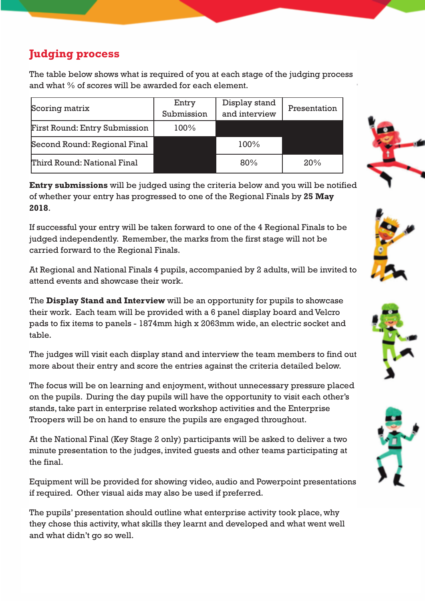## **Judging process**

The table below shows what is required of you at each stage of the judging process and what % of scores will be awarded for each element.

| Scoring matrix                       | Entry      | Display stand | Presentation |  |
|--------------------------------------|------------|---------------|--------------|--|
|                                      | Submission | and interview |              |  |
| <b>First Round: Entry Submission</b> | 100%       |               |              |  |
| Second Round: Regional Final         |            | 100%          |              |  |
| Third Round: National Final          |            | 80%           | 20%          |  |

**Entry submissions** will be judged using the criteria below and you will be notified of whether your entry has progressed to one of the Regional Finals by **25 May 2018**.

If successful your entry will be taken forward to one of the 4 Regional Finals to be judged independently. Remember, the marks from the first stage will not be carried forward to the Regional Finals.

At Regional and National Finals 4 pupils, accompanied by 2 adults, will be invited to attend events and showcase their work.

The **Display Stand and Interview** will be an opportunity for pupils to showcase their work. Each team will be provided with a 6 panel display board and Velcro pads to fix items to panels - 1874mm high x 2063mm wide, an electric socket and table.

The judges will visit each display stand and interview the team members to find out more about their entry and score the entries against the criteria detailed below.

The focus will be on learning and enjoyment, without unnecessary pressure placed on the pupils. During the day pupils will have the opportunity to visit each other's stands, take part in enterprise related workshop activities and the Enterprise Troopers will be on hand to ensure the pupils are engaged throughout.

At the National Final (Key Stage 2 only) participants will be asked to deliver a two minute presentation to the judges, invited guests and other teams participating at the final.

Equipment will be provided for showing video, audio and Powerpoint presentations if required. Other visual aids may also be used if preferred.

The pupils' presentation should outline what enterprise activity took place, why they chose this activity, what skills they learnt and developed and what went well and what didn't go so well.







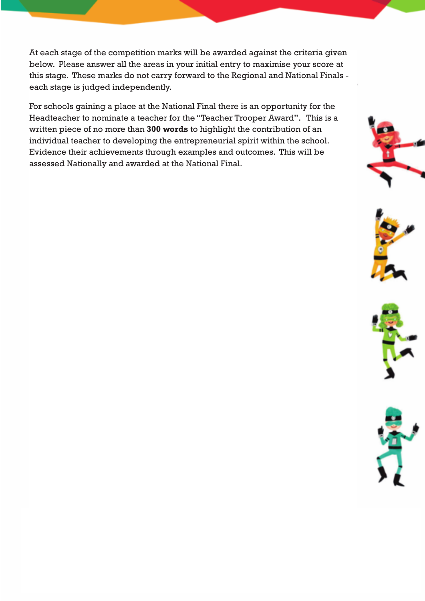At each stage of the competition marks will be awarded against the criteria given below. Please answer all the areas in your initial entry to maximise your score at this stage. These marks do not carry forward to the Regional and National Finals each stage is judged independently.

For schools gaining a place at the National Final there is an opportunity for the Headteacher to nominate a teacher for the "Teacher Trooper Award". This is a written piece of no more than **300 words** to highlight the contribution of an individual teacher to developing the entrepreneurial spirit within the school. Evidence their achievements through examples and outcomes. This will be assessed Nationally and awarded at the National Final.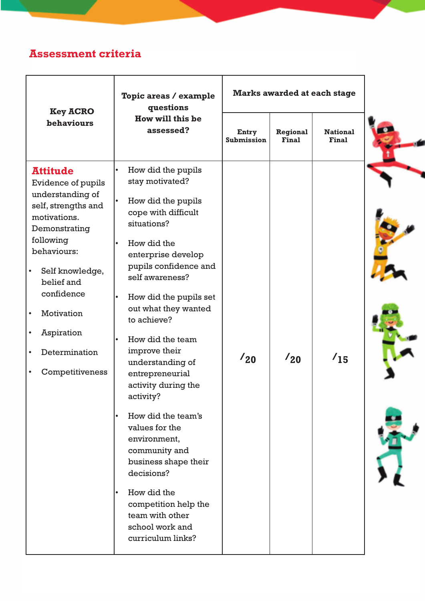## **Assessment criteria**

|                                                                                                                                                                                                                                                                                                                                      | Topic areas / example<br>questions<br>How will this be<br>assessed?                                                                                                                                                                                                                                                                                                                                                                                                                                                                                                                  | <b>Marks awarded at each stage</b> |                          |                          |  |
|--------------------------------------------------------------------------------------------------------------------------------------------------------------------------------------------------------------------------------------------------------------------------------------------------------------------------------------|--------------------------------------------------------------------------------------------------------------------------------------------------------------------------------------------------------------------------------------------------------------------------------------------------------------------------------------------------------------------------------------------------------------------------------------------------------------------------------------------------------------------------------------------------------------------------------------|------------------------------------|--------------------------|--------------------------|--|
| <b>Key ACRO</b><br><b>behaviours</b>                                                                                                                                                                                                                                                                                                 |                                                                                                                                                                                                                                                                                                                                                                                                                                                                                                                                                                                      | Entry<br>Submission                | Regional<br><b>Final</b> | <b>National</b><br>Final |  |
| <b>Attitude</b><br>Evidence of pupils<br>understanding of<br>self, strengths and<br>motivations.<br>Demonstrating<br>following<br>behaviours:<br>Self knowledge,<br>$\bullet$<br>belief and<br>confidence<br><b>Motivation</b><br>$\bullet$<br>Aspiration<br>$\bullet$<br>Determination<br>$\bullet$<br>Competitiveness<br>$\bullet$ | How did the pupils<br>stay motivated?<br>How did the pupils<br>cope with difficult<br>situations?<br>How did the<br>enterprise develop<br>pupils confidence and<br>self awareness?<br>How did the pupils set<br>out what they wanted<br>to achieve?<br>How did the team<br>improve their<br>understanding of<br>entrepreneurial<br>activity during the<br>activity?<br>How did the team's<br>values for the<br>environment,<br>community and<br>business shape their<br>decisions?<br>How did the<br>competition help the<br>team with other<br>school work and<br>curriculum links? | $\frac{1}{20}$                     | $\frac{1}{20}$           | 1 <sub>15</sub>          |  |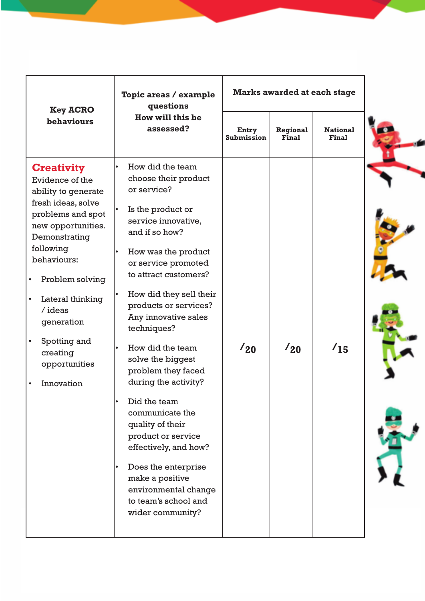|                                                                                                                                                                                                                                                                                                                                  | Topic areas / example<br>questions<br>How will this be<br>assessed?                                                                                                                                                                                                                                                                                                                                                                                                                                                                                                                                | <b>Marks awarded at each stage</b> |                   |                          |  |
|----------------------------------------------------------------------------------------------------------------------------------------------------------------------------------------------------------------------------------------------------------------------------------------------------------------------------------|----------------------------------------------------------------------------------------------------------------------------------------------------------------------------------------------------------------------------------------------------------------------------------------------------------------------------------------------------------------------------------------------------------------------------------------------------------------------------------------------------------------------------------------------------------------------------------------------------|------------------------------------|-------------------|--------------------------|--|
| <b>Key ACRO</b><br><b>behaviours</b>                                                                                                                                                                                                                                                                                             |                                                                                                                                                                                                                                                                                                                                                                                                                                                                                                                                                                                                    | Entry<br><b>Submission</b>         | Regional<br>Final | <b>National</b><br>Final |  |
| <b>Creativity</b><br>Evidence of the<br>ability to generate<br>fresh ideas, solve<br>problems and spot<br>new opportunities.<br>Demonstrating<br>following<br>behaviours:<br>Problem solving<br>Lateral thinking<br>$\bullet$<br>$/$ ideas<br>generation<br>$\bullet$<br>Spotting and<br>creating<br>opportunities<br>Innovation | How did the team<br>choose their product<br>or service?<br>Is the product or<br>service innovative,<br>and if so how?<br>How was the product<br>or service promoted<br>to attract customers?<br>How did they sell their<br>products or services?<br>Any innovative sales<br>techniques?<br>How did the team<br>solve the biggest<br>problem they faced<br>during the activity?<br>Did the team<br>communicate the<br>quality of their<br>product or service<br>effectively, and how?<br>Does the enterprise<br>make a positive<br>environmental change<br>to team's school and<br>wider community? | 1/20                               | $\frac{1}{20}$    | /15                      |  |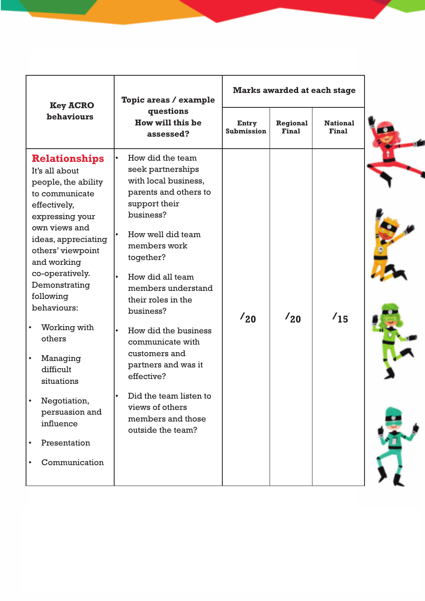|                                                                                                                                                                                                                                                                                                                                                                                                                                                        | Topic areas / example<br>questions<br>How will this be<br>assessed?                                                                                                                                                                                                                                                                                                                                                                          | <b>Marks awarded at each stage</b> |                   |                          |  |
|--------------------------------------------------------------------------------------------------------------------------------------------------------------------------------------------------------------------------------------------------------------------------------------------------------------------------------------------------------------------------------------------------------------------------------------------------------|----------------------------------------------------------------------------------------------------------------------------------------------------------------------------------------------------------------------------------------------------------------------------------------------------------------------------------------------------------------------------------------------------------------------------------------------|------------------------------------|-------------------|--------------------------|--|
| <b>Key ACRO</b><br><b>behaviours</b>                                                                                                                                                                                                                                                                                                                                                                                                                   |                                                                                                                                                                                                                                                                                                                                                                                                                                              | Entry<br><b>Submission</b>         | Regional<br>Final | <b>National</b><br>Final |  |
| <b>Relationships</b><br>It's all about<br>people, the ability<br>to communicate<br>effectively,<br>expressing your<br>own views and<br>ideas, appreciating<br>others' viewpoint<br>and working<br>co-operatively.<br>Demonstrating<br>following<br>behaviours:<br>Working with<br>$\bullet$<br>others<br>$\bullet$<br>Managing<br>difficult<br>situations<br>Negotiation,<br>persuasion and<br>influence<br>Presentation<br>$\bullet$<br>Communication | How did the team<br>seek partnerships<br>with local business,<br>parents and others to<br>support their<br>business?<br>How well did team<br>members work<br>together?<br>How did all team<br>members understand<br>their roles in the<br>business?<br>How did the business<br>communicate with<br>customers and<br>partners and was it<br>effective?<br>Did the team listen to<br>views of others<br>members and those<br>outside the team? | 1/20                               | 1/20              | $1_{15}$                 |  |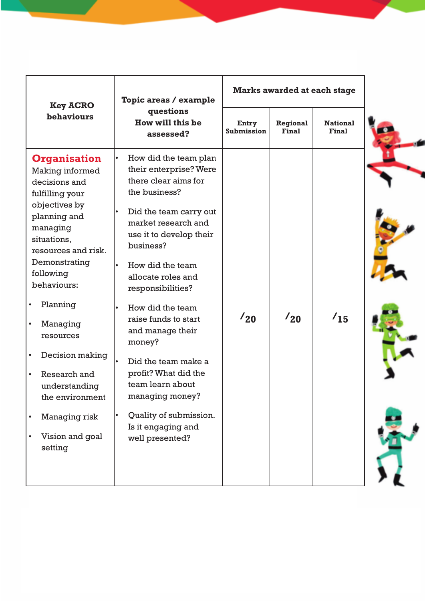|                                                                                                                                                                                                                                                                                                                                                                                                                   | Topic areas / example                                                                                                                                                                                                                                                                                                                                                                                                                                                               | <b>Marks awarded at each stage</b> |                   |                          |
|-------------------------------------------------------------------------------------------------------------------------------------------------------------------------------------------------------------------------------------------------------------------------------------------------------------------------------------------------------------------------------------------------------------------|-------------------------------------------------------------------------------------------------------------------------------------------------------------------------------------------------------------------------------------------------------------------------------------------------------------------------------------------------------------------------------------------------------------------------------------------------------------------------------------|------------------------------------|-------------------|--------------------------|
| <b>Key ACRO</b><br><b>behaviours</b>                                                                                                                                                                                                                                                                                                                                                                              | questions<br>How will this be<br>assessed?                                                                                                                                                                                                                                                                                                                                                                                                                                          | Entry<br><b>Submission</b>         | Regional<br>Final | <b>National</b><br>Final |
| <b>Organisation</b><br>Making informed<br>decisions and<br>fulfilling your<br>objectives by<br>planning and<br>managing<br>situations,<br>resources and risk.<br>Demonstrating<br>following<br>behaviours:<br>Planning<br>Managing<br>$\bullet$<br>resources<br>Decision making<br>٠<br>Research and<br>$\bullet$<br>understanding<br>the environment<br>Managing risk<br>$\bullet$<br>Vision and goal<br>setting | How did the team plan<br>their enterprise? Were<br>there clear aims for<br>the business?<br>Did the team carry out<br>market research and<br>use it to develop their<br>business?<br>How did the team<br>allocate roles and<br>responsibilities?<br>How did the team<br>raise funds to start<br>and manage their<br>money?<br>Did the team make a<br>profit? What did the<br>team learn about<br>managing money?<br>Quality of submission.<br>Is it engaging and<br>well presented? | $\frac{1}{20}$                     | 1/20              | 15                       |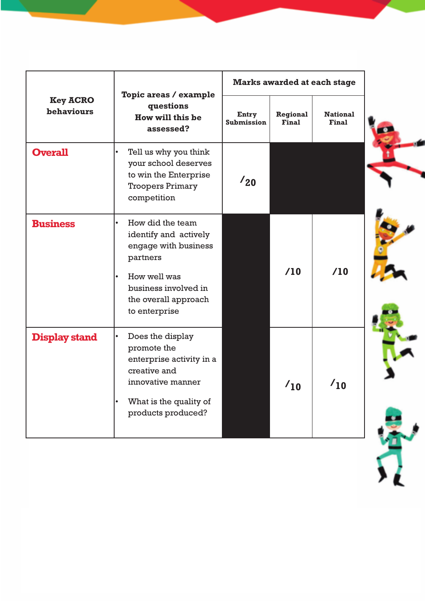|                                      |                                                                                                                                                                             | <b>Marks awarded at each stage</b> |                   |                                 |  |
|--------------------------------------|-----------------------------------------------------------------------------------------------------------------------------------------------------------------------------|------------------------------------|-------------------|---------------------------------|--|
| <b>Key ACRO</b><br><b>behaviours</b> | Topic areas / example<br>questions<br>How will this be<br>assessed?                                                                                                         | Entry<br>Submission                | Regional<br>Final | <b>National</b><br><b>Final</b> |  |
| <b>Overall</b>                       | Tell us why you think<br>$\bullet$<br>your school deserves<br>to win the Enterprise<br><b>Troopers Primary</b><br>competition                                               | $\frac{1}{20}$                     |                   |                                 |  |
| <b>Business</b>                      | How did the team<br>identify and actively<br>engage with business<br>partners<br>How well was<br>$\bullet$<br>business involved in<br>the overall approach<br>to enterprise |                                    | /10               | /10                             |  |
| <b>Display stand</b>                 | Does the display<br>٠<br>promote the<br>enterprise activity in a<br>creative and<br>innovative manner<br>What is the quality of<br>products produced?                       |                                    | 10 <sup>2</sup>   | 10                              |  |
|                                      |                                                                                                                                                                             |                                    |                   |                                 |  |